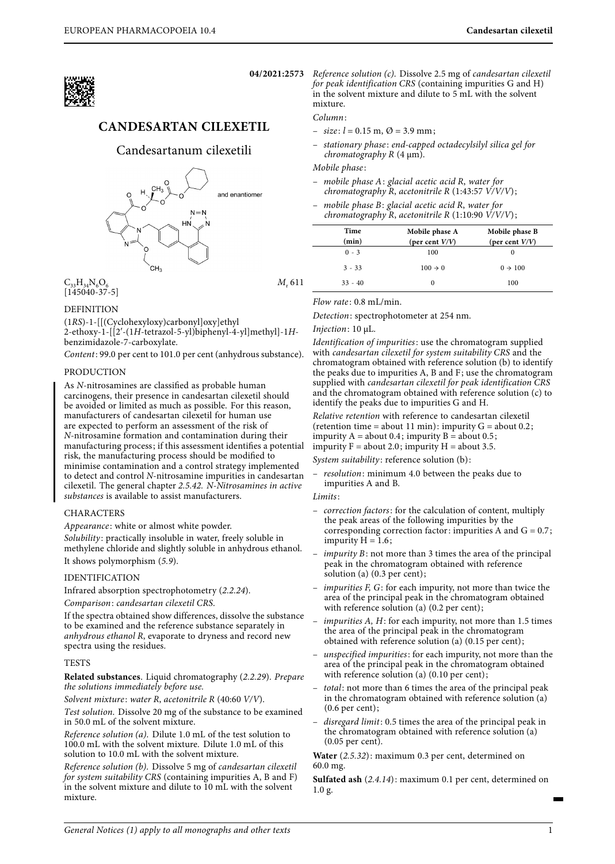

# **CANDESARTAN CILEXETIL**

## Candesartanum cilexetili



 $C_{32}H_{34}N_{6}O_{6}$  $[145040-37-5]$ 

M.<sub>611</sub>

## DEFINITION

(1RS)-1-[[(Cyclohexyloxy)carbonyl]oxy]ethyl 2-ethoxy-1-[[2′-(1H-tetrazol-5-yl)biphenyl-4-yl]methyl]-1Hbenzimidazole-7-carboxylate.

Content: 99.0 per cent to 101.0 per cent (anhydrous substance).

## PRODUCTION

As N-nitrosamines are classified as probable human carcinogens, their presence in candesartan cilexetil should be avoided or limited as much as possible. For this reason, manufacturers of candesartan cilexetil for human use are expected to perform an assessment of the risk of N-nitrosamine formation and contamination during their manufacturing process; if this assessment identifies a potential risk, the manufacturing process should be modified to minimise contamination and a control strategy implemented to detect and control N-nitrosamine impurities in candesartan cilexetil. The general chapter 2.5.42. N-Nitrosamines in active substances is available to assist manufacturers.

## CHARACTERS

Appearance: white or almost white powder.

Solubility: practically insoluble in water, freely soluble in methylene chloride and slightly soluble in anhydrous ethanol. It shows polymorphism (5.9).

## IDENTIFICATION

Infrared absorption spectrophotometry (2.2.24).

Comparison: candesartan cilexetil CRS.

If the spectra obtained show differences, dissolve the substance to be examined and the reference substance separately in anhydrous ethanol R, evaporate to dryness and record new spectra using the residues.

## **TESTS**

**Related substances**. Liquid chromatography (2.2.29). Prepare the solutions immediately before use.

Solvent mixture: water R, acetonitrile R (40:60 V/V).

Test solution. Dissolve 20 mg of the substance to be examined in 50.0 mL of the solvent mixture.

Reference solution (a). Dilute 1.0 mL of the test solution to 100.0 mL with the solvent mixture. Dilute 1.0 mL of this solution to 10.0 mL with the solvent mixture.

Reference solution (b). Dissolve 5 mg of candesartan cilexetil for system suitability CRS (containing impurities A, B and F) in the solvent mixture and dilute to 10 mL with the solvent mixture.

**04/2021:2573** Reference solution (c). Dissolve 2.5 mg of candesartan cilexetil for peak identification CRS (containing impurities G and H) in the solvent mixture and dilute to 5 mL with the solvent mixture.

Column:

- $-$  size:  $l = 0.15$  m,  $\varnothing = 3.9$  mm;
- stationary phase : end-capped octadecylsilyl silica gel for chromatography  $R$  (4  $\mu$ m).

#### Mobile phase :

- mobile phase A: glacial acetic acid R, water for chromatography R, acetonitrile R (1:43:57  $V/V/V$ );
- mobile phase B: glacial acetic acid R, water for chromatography R, acetonitrile R (1:10:90  $\dot{V}/V/V$ );

| Time<br>(min) | Mobile phase A<br>(per cent $V/V$ ) | Mobile phase B<br>(per cent $V/V$ ) |
|---------------|-------------------------------------|-------------------------------------|
| $0 - 3$       | 100                                 |                                     |
| $3 - 33$      | $100 \rightarrow 0$                 | $0 \rightarrow 100$                 |
| $33 - 40$     | $\Omega$                            | 100                                 |

 $Flow\ rate$ : 0.8 mL/min.

Detection: spectrophotometer at 254 nm.

#### Injection: 10 μL.

Identification of impurities: use the chromatogram supplied with candesartan cilexetil for system suitability CRS and the chromatogram obtained with reference solution (b) to identify the peaks due to impurities A, B and F; use the chromatogram supplied with candesartan cilexetil for peak identification CRS and the chromatogram obtained with reference solution (c) to identify the peaks due to impurities G and H.

Relative retention with reference to candesartan cilexetil (retention time = about 11 min): impurity  $G =$  about 0.2; impurity  $A = about 0.4$ ; impurity  $B = about 0.5$ ; impurity  $F =$  about 2.0; impurity  $H =$  about 3.5.

System suitability: reference solution (b):

– resolution: minimum 4.0 between the peaks due to impurities A and B.

Limits:

- correction factors: for the calculation of content, multiply the peak areas of the following impurities by the corresponding correction factor: impurities A and  $G = 0.7$ ; impurity  $H = 1.6$ ;
- $impurity B:$  not more than 3 times the area of the principal peak in the chromatogram obtained with reference solution (a) (0.3 per cent);
- impurities F, G: for each impurity, not more than twice the area of the principal peak in the chromatogram obtained with reference solution (a) (0.2 per cent);
- $impurities A, H:$  for each impurity, not more than 1.5 times the area of the principal peak in the chromatogram obtained with reference solution (a) (0.15 per cent);
- unspecified impurities: for each impurity, not more than the area of the principal peak in the chromatogram obtained with reference solution (a) (0.10 per cent);
- total: not more than 6 times the area of the principal peak in the chromatogram obtained with reference solution (a) (0.6 per cent);
- disregard limit: 0.5 times the area of the principal peak in the chromatogram obtained with reference solution (a) (0.05 per cent).

**Water** (2.5.32): maximum 0.3 per cent, determined on 60.0 mg.

**Sulfated ash** (2.4.14): maximum 0.1 per cent, determined on 1.0 g.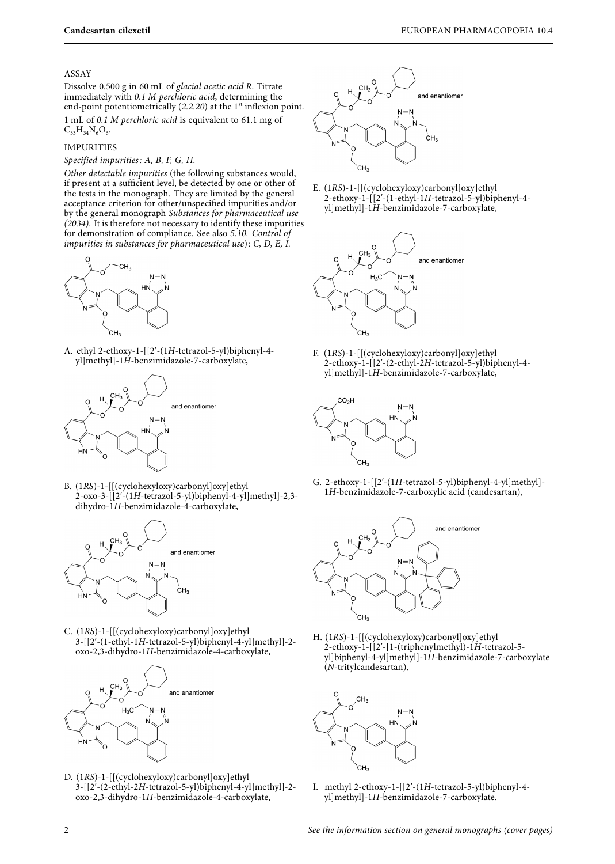#### ASSAY

Dissolve 0.500 g in 60 mL of glacial acetic acid R. Titrate immediately with 0.1 M perchloric acid, determining the end-point potentiometrically  $(2.2.20)$  at the 1<sup>st</sup> inflexion point. 1 mL of 0.1 M perchloric acid is equivalent to 61.1 mg of  $C_{33}H_{34}N_6O_6$ .

## IMPURITIES

#### Specified impurities: A, B, F, G, H.

Other detectable impurities (the following substances would, if present at a sufficient level, be detected by one or other of the tests in the monograph. They are limited by the general acceptance criterion for other/unspecified impurities and/or by the general monograph Substances for pharmaceutical use  $(2034)$ . It is therefore not necessary to identify these impurities for demonstration of compliance. See also 5.10. Control of impurities in substances for pharmaceutical use):  $C$ ,  $D$ ,  $E$ ,  $\tilde{I}$ .



A. ethyl 2-ethoxy-1-[[2′-(1H-tetrazol-5-yl)biphenyl-4 yl]methyl]-1H-benzimidazole-7-carboxylate,



B. (1RS)-1-[[(cyclohexyloxy)carbonyl]oxy]ethyl 2-oxo-3-[[2′-(1H-tetrazol-5-yl)biphenyl-4-yl]methyl]-2,3-  ${\rm dihydro\text{-}1}H\text{-}{\rm benzimidazole\text{-}4\text{-}carboxylate},$ 



C. (1RS)-1-[[(cyclohexyloxy)carbonyl]oxy]ethyl 3-[[2′-(1-ethyl-1H-tetrazol-5-yl)biphenyl-4-yl]methyl]-2 oxo-2,3-dihydro-1H-benzimidazole-4-carboxylate,



D. (1RS)-1-[[(cyclohexyloxy)carbonyl]oxy]ethyl 3-[[2′-(2-ethyl-2H-tetrazol-5-yl)biphenyl-4-yl]methyl]-2 oxo-2,3-dihydro-1H-benzimidazole-4-carboxylate,



E. (1RS)-1-[[(cyclohexyloxy)carbonyl]oxy]ethyl 2-ethoxy-1-[[2′-(1-ethyl-1H-tetrazol-5-yl)biphenyl-4 yl]methyl]-1H-benzimidazole-7-carboxylate,



F. (1RS)-1-[[(cyclohexyloxy)carbonyl]oxy]ethyl 2-ethoxy-1-[[2′-(2-ethyl-2H-tetrazol-5-yl)biphenyl-4 yl]methyl]-1H-benzimidazole-7-carboxylate,



G. 2-ethoxy-1-[[2′-(1H-tetrazol-5-yl)biphenyl-4-yl]methyl]- 1H-benzimidazole-7-carboxylic acid (candesartan),



H. (1RS)-1-[[(cyclohexyloxy)carbonyl]oxy]ethyl 2-ethoxy-1-[[2′-[1-(triphenylmethyl)-1H-tetrazol-5 yl]biphenyl-4-yl]methyl]-1H-benzimidazole-7-carboxylate (N-tritylcandesartan),



I. methyl 2-ethoxy-1-[[2′-(1H-tetrazol-5-yl)biphenyl-4 yl]methyl]-1H-benzimidazole-7-carboxylate.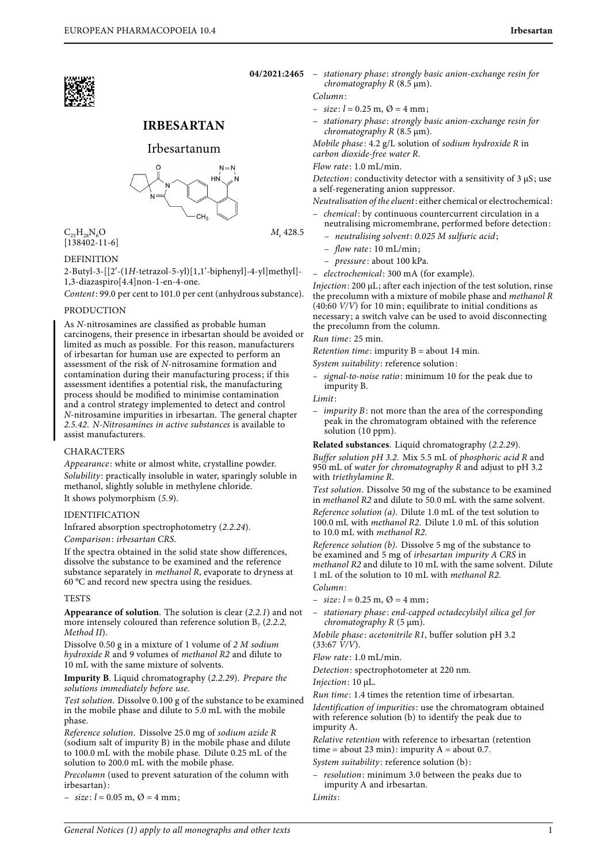# **IRBESARTAN**

## Irbesartanum



 $C_{25}H_{28}N_6O$  $[138402-11-6]$ 

## DEFINITION

2-Butyl-3-[[2′-(1H-tetrazol-5-yl)[1,1′-biphenyl]-4-yl]methyl]- 1,3-diazaspiro[4.4]non-1-en-4-one.

Content: 99.0 per cent to 101.0 per cent (anhydrous substance).

## PRODUCTION

As N-nitrosamines are classified as probable human carcinogens, their presence in irbesartan should be avoided or limited as much as possible. For this reason, manufacturers of irbesartan for human use are expected to perform an assessment of the risk of N-nitrosamine formation and contamination during their manufacturing process; if this assessment identifies a potential risk, the manufacturing process should be modified to minimise contamination and a control strategy implemented to detect and control N-nitrosamine impurities in irbesartan. The general chapter 2.5.42. N-Nitrosamines in active substances is available to assist manufacturers.

## CHARACTERS

Appearance: white or almost white, crystalline powder. Solubility: practically insoluble in water, sparingly soluble in methanol, slightly soluble in methylene chloride. It shows polymorphism (5.9).

#### IDENTIFICATION

Infrared absorption spectrophotometry (2.2.24).

Comparison: irbesartan CRS.

If the spectra obtained in the solid state show differences, dissolve the substance to be examined and the reference substance separately in methanol R, evaporate to dryness at 60 °C and record new spectra using the residues.

#### **TESTS**

**Appearance of solution**. The solution is clear (2.2.1) and not more intensely coloured than reference solution  $B_7$  (2.2.2, Method II).

Dissolve 0.50 g in a mixture of 1 volume of 2 M sodium hydroxide R and 9 volumes of methanol R2 and dilute to 10 mL with the same mixture of solvents.

**Impurity B**. Liquid chromatography (2.2.29). Prepare the solutions immediately before use.

Test solution. Dissolve 0.100 g of the substance to be examined in the mobile phase and dilute to 5.0 mL with the mobile phase.

Reference solution. Dissolve 25.0 mg of sodium azide R (sodium salt of impurity B) in the mobile phase and dilute to 100.0 mL with the mobile phase. Dilute 0.25 mL of the solution to 200.0 mL with the mobile phase.

Precolumn (used to prevent saturation of the column with irbesartan):

 $-$  size:  $l = 0.05$  m,  $\varnothing = 4$  mm;

M<sub>r</sub> 428.5

- **04/2021:2465** stationary phase : strongly basic anion-exchange resin for chromatography R (8.5 μm).
	- Column:
	- $-$  size:  $l = 0.25$  m,  $\varnothing = 4$  mm;
	- stationary phase : strongly basic anion-exchange resin for chromatography R (8.5 μm).

Mobile phase:  $4.2$  g/L solution of sodium hydroxide R in carbon dioxide-free water R.

Flow rate: 1.0 mL/min.

Detection: conductivity detector with a sensitivity of 3 μS; use a self-regenerating anion suppressor.

Neutralisation of the eluent: either chemical or electrochemical:

- chemical: by continuous countercurrent circulation in a neutralising micromembrane, performed before detection:
	- neutralising solvent: 0.025 M sulfuric acid;
	- $-$  flow rate: 10 mL/min;
	- *pressure*: about 100 kPa.
- electrochemical: 300 mA (for example).

Injection: 200 μL; after each injection of the test solution, rinse the precolumn with a mixture of mobile phase and methanol R (40:60 V/V) for 10 min; equilibrate to initial conditions as necessary; a switch valve can be used to avoid disconnecting the precolumn from the column.

Run time: 25 min.

Retention time: impurity  $B =$  about 14 min.

System suitability: reference solution:

– signal-to-noise ratio: minimum 10 for the peak due to impurity B.

Limit:

– impurity B: not more than the area of the corresponding peak in the chromatogram obtained with the reference solution (10 ppm).

**Related substances**. Liquid chromatography (2.2.29).

Buffer solution pH 3.2. Mix 5.5 mL of phosphoric acid R and 950 mL of water for chromatography  $\overline{R}$  and adjust to pH 3.2 with triethylamine R.

Test solution. Dissolve 50 mg of the substance to be examined in methanol R2 and dilute to 50.0 mL with the same solvent.

Reference solution (a). Dilute 1.0 mL of the test solution to 100.0 mL with methanol R2. Dilute 1.0 mL of this solution to 10.0 mL with methanol R2.

Reference solution (b). Dissolve 5 mg of the substance to be examined and 5 mg of irbesartan impurity A CRS in methanol R2 and dilute to 10 mL with the same solvent. Dilute 1 mL of the solution to 10 mL with methanol R2. Column:

- $-$  size:  $l = 0.25$  m,  $\varnothing = 4$  mm;
- stationary phase : end-capped octadecylsilyl silica gel for *chromatography R*  $(5 \mu m)$ .

Mobile phase: acetonitrile R1, buffer solution pH 3.2  $(33:67 \frac{V}{V})$ .

Flow rate: 1.0 mL/min.

Detection: spectrophotometer at 220 nm.

Injection: 10 μL.

Run time : 1.4 times the retention time of irbesartan. Identification of impurities: use the chromatogram obtained with reference solution (b) to identify the peak due to impurity A.

Relative retention with reference to irbesartan (retention time = about 23 min): impurity  $A =$  about 0.7. System suitability: reference solution (b):

- 
- resolution: minimum 3.0 between the peaks due to impurity A and irbesartan.
- Limits: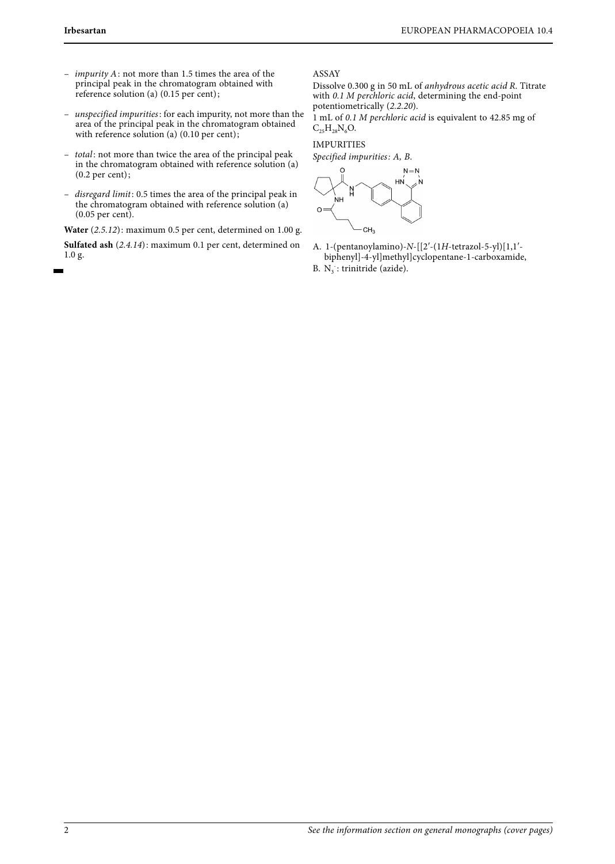- impurity A: not more than 1.5 times the area of the principal peak in the chromatogram obtained with reference solution (a) (0.15 per cent);
- unspecified impurities: for each impurity, not more than the area of the principal peak in the chromatogram obtained with reference solution (a) (0.10 per cent);
- total: not more than twice the area of the principal peak in the chromatogram obtained with reference solution (a) (0.2 per cent);
- disregard limit: 0.5 times the area of the principal peak in the chromatogram obtained with reference solution (a) (0.05 per cent).

**Water** (2.5.12): maximum 0.5 per cent, determined on 1.00 g.

**Sulfated ash** (2.4.14): maximum 0.1 per cent, determined on 1.0 g.

ASSAY

Dissolve 0.300 g in 50 mL of anhydrous acetic acid R. Titrate with 0.1 M perchloric acid, determining the end-point potentiometrically (2.2.20).

1 mL of 0.1 M perchloric acid is equivalent to 42.85 mg of  $C_{25}H_{28}N_6O.$ 

## IMPURITIES

Specified impurities: A, B.

 $N = N$ HN  $CH<sub>3</sub>$ 

- A. 1-(pentanoylamino)-N-[[2′-(1H-tetrazol-5-yl)[1,1′ biphenyl]-4-yl]methyl]cyclopentane-1-carboxamide,
- B.  $N_3$ : trinitride (azide).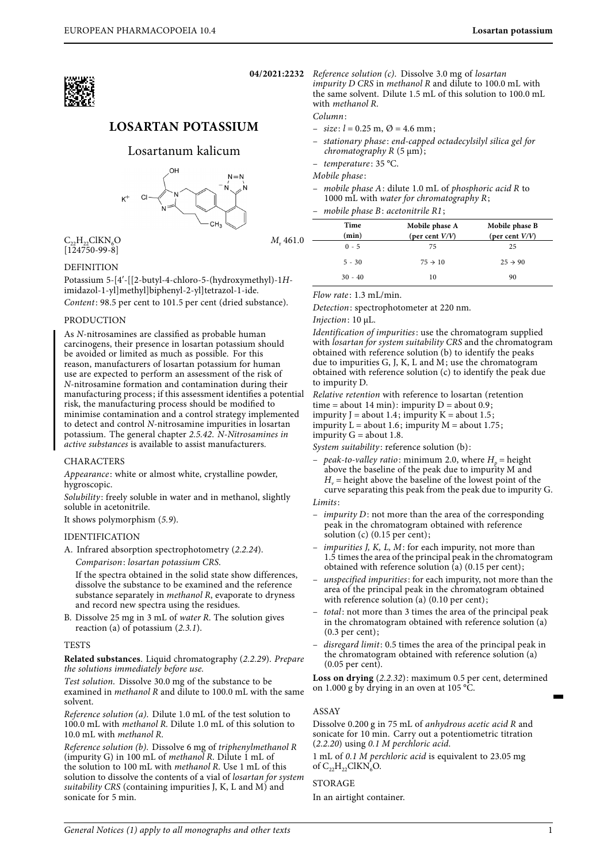

# **LOSARTAN POTASSIUM**

## Losartanum kalicum



 $M, 461.0$ 

 $C_{22}H_{22}ClKN_{6}O$ [124750-99-8]

## **DEFINITION**

Potassium 5-[4′-[[2-butyl-4-chloro-5-(hydroxymethyl)-1Himidazol-1-yl]methyl]biphenyl-2-yl]tetrazol-1-ide. Content: 98.5 per cent to 101.5 per cent (dried substance).

#### **PRODUCTION**

As N-nitrosamines are classified as probable human carcinogens, their presence in losartan potassium should be avoided or limited as much as possible. For this reason, manufacturers of losartan potassium for human use are expected to perform an assessment of the risk of N-nitrosamine formation and contamination during their manufacturing process; if this assessment identifies a potential risk, the manufacturing process should be modified to minimise contamination and a control strategy implemented to detect and control N-nitrosamine impurities in losartan potassium. The general chapter 2.5.42. N-Nitrosamines in active substances is available to assist manufacturers.

#### CHARACTERS

Appearance: white or almost white, crystalline powder, hygroscopic.

Solubility: freely soluble in water and in methanol, slightly soluble in acetonitrile.

It shows polymorphism (5.9).

#### IDENTIFICATION

A. Infrared absorption spectrophotometry (2.2.24).

Comparison: losartan potassium CRS.

If the spectra obtained in the solid state show differences, dissolve the substance to be examined and the reference substance separately in methanol R, evaporate to dryness and record new spectra using the residues.

B. Dissolve 25 mg in 3 mL of water R. The solution gives reaction (a) of potassium (2.3.1).

#### **TESTS**

**Related substances**. Liquid chromatography (2.2.29). Prepare the solutions immediately before use.

Test solution. Dissolve 30.0 mg of the substance to be examined in methanol R and dilute to 100.0 mL with the same solvent.

Reference solution (a). Dilute 1.0 mL of the test solution to 100.0 mL with methanol R. Dilute 1.0 mL of this solution to 10.0 mL with methanol R.

Reference solution (b). Dissolve 6 mg of triphenylmethanol R (impurity G) in 100 mL of methanol R. Dilute  $1$  mL of the solution to 100 mL with methanol R. Use 1 mL of this solution to dissolve the contents of a vial of losartan for system suitability CRS (containing impurities J, K, L and M) and sonicate for 5 min.

**04/2021:2232** Reference solution (c). Dissolve 3.0 mg of losartan impurity D CRS in methanol R and dilute to 100.0 mL with the same solvent. Dilute 1.5 mL of this solution to 100.0 mL with methanol R.

Column:

- $-$  size:  $l = 0.25$  m,  $\varnothing = 4.6$  mm;
- stationary phase : end-capped octadecylsilyl silica gel for *chromatography R*  $(5 \mu m)$ ;

- temperature: 35 °C.

Mobile phase :

mobile phase  $A$ : dilute 1.0 mL of phosphoric acid R to 1000 mL with water for chromatography R;

mobile phase B: acetonitrile R1;

| Time<br>(min) | Mobile phase A<br>(per cent $V/V$ ) | Mobile phase B<br>(per cent $V/V$ ) |
|---------------|-------------------------------------|-------------------------------------|
| $0 - 5$       | 75                                  | 25                                  |
| $5 - 30$      | $75 \rightarrow 10$                 | $25 \rightarrow 90$                 |
| $30 - 40$     | 10                                  | 90                                  |

Flow rate: 1.3 mL/min.

Detection: spectrophotometer at 220 nm.

Injection: 10 μL.

Identification of impurities: use the chromatogram supplied with *losartan for system suitability CRS* and the chromatogram obtained with reference solution (b) to identify the peaks due to impurities G, J, K, L and M; use the chromatogram obtained with reference solution (c) to identify the peak due to impurity D.

Relative retention with reference to losartan (retention

time = about 14 min): impurity  $D =$  about 0.9;

impurity  $J =$  about 1.4; impurity  $K =$  about 1.5;

impurity  $L =$  about 1.6; impurity  $M =$  about 1.75;

impurity  $G =$  about 1.8.

System suitability: reference solution (b):

peak-to-valley ratio: minimum 2.0, where  $H<sub>0</sub>$  = height above the baseline of the peak due to impurity M and  $H<sub>u</sub>$  = height above the baseline of the lowest point of the curve separating this peak from the peak due to impurity G.

Limits:

- *impurity*  $D$ : not more than the area of the corresponding peak in the chromatogram obtained with reference solution (c) (0.15 per cent);
- *impurities J, K, L, M*: for each impurity, not more than 1.5 times the area of the principal peak in the chromatogram obtained with reference solution (a) (0.15 per cent);
- unspecified impurities: for each impurity, not more than the area of the principal peak in the chromatogram obtained with reference solution (a) (0.10 per cent);
- total: not more than 3 times the area of the principal peak in the chromatogram obtained with reference solution (a) (0.3 per cent);
- disregard limit: 0.5 times the area of the principal peak in the chromatogram obtained with reference solution (a) (0.05 per cent).

**Loss on drying** (2.2.32): maximum 0.5 per cent, determined on 1.000 g by drying in an oven at 105 °C.

#### ASSAY

Dissolve 0.200 g in 75 mL of anhydrous acetic acid R and sonicate for 10 min. Carry out a potentiometric titration (2.2.20) using 0.1 M perchloric acid.

1 mL of 0.1 M perchloric acid is equivalent to 23.05 mg of  $C_{22}H_{22}ClKN<sub>6</sub>O$ .

## STORAGE

In an airtight container.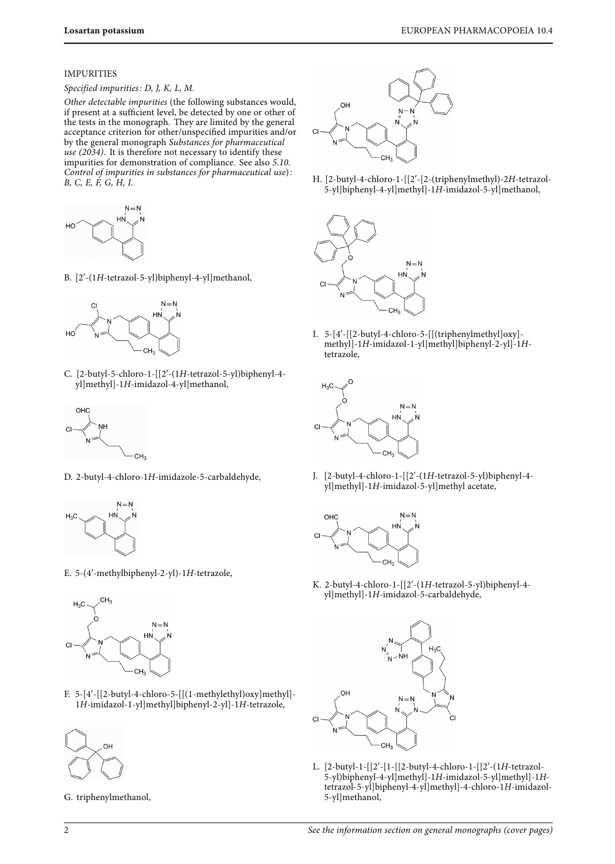## IMPURITIES

## Specified impurities: D, J, K, L, M.

Other detectable impurities (the following substances would, if present at a sufficient level, be detected by one or other of the tests in the monograph. They are limited by the general acceptance criterion for other/unspecified impurities and/or by the general monograph Substances for pharmaceutical use (2034). It is therefore not necessary to identify these impurities for demonstration of compliance. See also 5.10. Control of impurities in substances for pharmaceutical use): B, C, E, F, G, H, I.



B. [2′-(1H-tetrazol-5-yl)biphenyl-4-yl]methanol,



C. [2-butyl-5-chloro-1-[[2′-(1H-tetrazol-5-yl)biphenyl-4 yl]methyl]-1H-imidazol-4-yl]methanol,



D. 2-butyl-4-chloro-1H-imidazole-5-carbaldehyde,



E. 5-(4′-methylbiphenyl-2-yl)-1H-tetrazole,



F. 5-[4′-[[2-butyl-4-chloro-5-[[(1-methylethyl)oxy]methyl]- 1H-imidazol-1-yl]methyl]biphenyl-2-yl]-1H-tetrazole,



G. triphenylmethanol,

H. [2-butyl-4-chloro-1-[[2′-[2-(triphenylmethyl)-2H-tetrazol-5-yl]biphenyl-4-yl]methyl]-1H-imidazol-5-yl]methanol,



I. 5-[4′-[[2-butyl-4-chloro-5-[[(triphenylmethyl]oxy] methyl]-1H-imidazol-1-yl]methyl]biphenyl-2-yl]-1Htetrazole,



J. [2-butyl-4-chloro-1-[[2′-(1H-tetrazol-5-yl)biphenyl-4 yl]methyl]-1H-imidazol-5-yl]methyl acetate,



K. 2-butyl-4-chloro-1-[[2′-(1H-tetrazol-5-yl)biphenyl-4 yl]methyl]-1H-imidazol-5-carbaldehyde,



L. [2-butyl-1-[[2′-[1-[[2-butyl-4-chloro-1-[[2′-(1H-tetrazol-5-yl)biphenyl-4-yl]methyl]-1H-imidazol-5-yl]methyl]-1Htetrazol-5-yl]biphenyl-4-yl]methyl]-4-chloro-1H-imidazol-5-yl]methanol,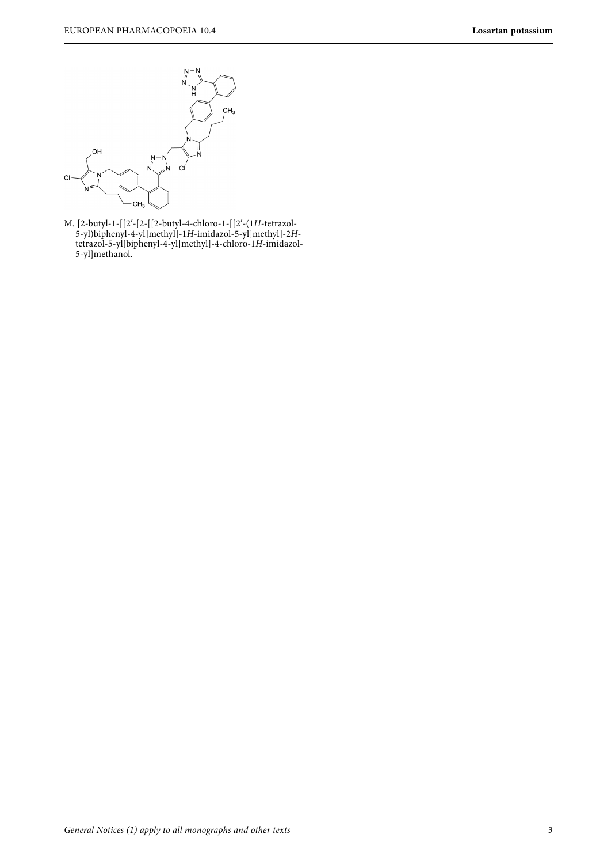

M. [2-butyl-1-[[2′-[2-[[2-butyl-4-chloro-1-[[2′-(1H-tetrazol-5-yl)biphenyl-4-yl]methyl]-1H-imidazol-5-yl]methyl]-2Htetrazol-5-yl]biphenyl-4-yl]methyl]-4-chloro-1H-imidazol-5-yl]methanol.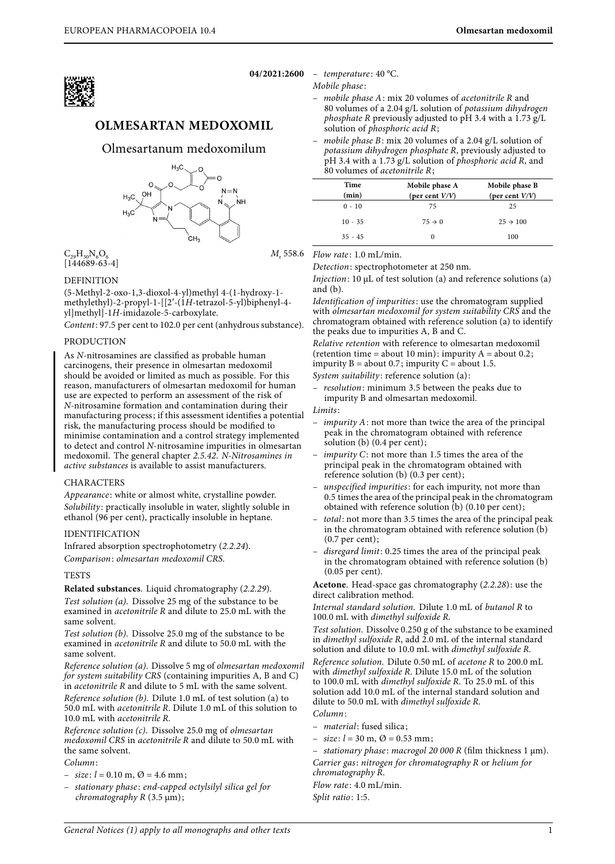

**04/2021:2600** – temperature: 40 °C.

Mobile phase :

- mobile phase  $A$ : mix 20 volumes of acetonitrile  $R$  and 80 volumes of a 2.04 g/L solution of potassium dihydrogen *phosphate R* previously adjusted to pH 3.4 with a  $1.73$  g/L solution of phosphoric acid R;
- mobile phase  $B$ : mix 20 volumes of a 2.04 g/L solution of potassium dihydrogen phosphate R, previously adjusted to  $pH$  3.4 with a 1.73 g/L solution of *phosphoric acid R*, and 80 volumes of acetonitrile R;

| Time<br>(min) | Mobile phase A<br>(per cent $V/V$ ) | Mobile phase B<br>(per cent $V/V$ ) |
|---------------|-------------------------------------|-------------------------------------|
| $0 - 10$      | 75                                  | 25                                  |
| $10 - 35$     | $75 \rightarrow 0$                  | $25 \div 100$                       |
| $35 - 45$     |                                     | 100                                 |

 $C_{29}H_{30}N_6O_6$  $[144689-63-4]$  M<sub>r</sub> 558.6

## DEFINITION

(5-Methyl-2-oxo-1,3-dioxol-4-yl)methyl 4-(1-hydroxy-1 methylethyl)-2-propyl-1-[[2′-(1H-tetrazol-5-yl)biphenyl-4 yl]methyl]-1H-imidazole-5-carboxylate.

**OLMESARTAN MEDOXOMIL**

Olmesartanum medoxomilum

 $\overleftarrow{c}$ H<sub>3</sub>

 $N = N$ 

**NH** 

 $H_2C$ 

 $\Omega$ 

 $\cap H$  $H<sub>2</sub>C$ 

 $H<sub>2</sub>$ 

Content: 97.5 per cent to 102.0 per cent (anhydrous substance).

## PRODUCTION

As N-nitrosamines are classified as probable human carcinogens, their presence in olmesartan medoxomil should be avoided or limited as much as possible. For this reason, manufacturers of olmesartan medoxomil for human use are expected to perform an assessment of the risk of N-nitrosamine formation and contamination during their manufacturing process; if this assessment identifies a potential risk, the manufacturing process should be modified to minimise contamination and a control strategy implemented to detect and control N-nitrosamine impurities in olmesartan medoxomil. The general chapter 2.5.42. N-Nitrosamines in active substances is available to assist manufacturers.

## CHARACTERS

Appearance : white or almost white, crystalline powder. Solubility: practically insoluble in water, slightly soluble in ethanol (96 per cent), practically insoluble in heptane.

#### IDENTIFICATION

Infrared absorption spectrophotometry (2.2.24). Comparison: olmesartan medoxomil CRS.

## **TESTS**

**Related substances**. Liquid chromatography (2.2.29).

Test solution (a). Dissolve 25 mg of the substance to be examined in *acetonitrile R* and dilute to 25.0 mL with the same solvent.

Test solution (b). Dissolve 25.0 mg of the substance to be examined in acetonitrile R and dilute to 50.0 mL with the same solvent.

Reference solution (a). Dissolve 5 mg of olmesartan medoxomil for system suitability CRS (containing impurities A, B and C) in acetonitrile R and dilute to 5 mL with the same solvent. Reference solution (b). Dilute 1.0 mL of test solution (a) to 50.0 mL with acetonitrile R. Dilute 1.0 mL of this solution to 10.0 mL with acetonitrile R.

Reference solution (c). Dissolve 25.0 mg of olmesartan medoxomil CRS in acetonitrile R and dilute to 50.0 mL with the same solvent.

- Column:
- $-$  size:  $l = 0.10$  m,  $\varnothing = 4.6$  mm;
- stationary phase : end-capped octylsilyl silica gel for chromatography R (3.5 μm);

Flow rate: 1.0 mL/min.

Detection: spectrophotometer at 250 nm.

Injection: 10 μL of test solution (a) and reference solutions (a) and (b).

Identification of impurities: use the chromatogram supplied with olmesartan medoxomil for system suitability CRS and the chromatogram obtained with reference solution (a) to identify the peaks due to impurities A, B and C.

Relative retention with reference to olmesartan medoxomil (retention time = about 10 min): impurity  $A =$  about 0.2; impurity  $B = about 0.7$ ; impurity  $C = about 1.5$ .

System suitability: reference solution (a):

- *resolution*: minimum 3.5 between the peaks due to impurity B and olmesartan medoxomil.

Limits:

- impurity A: not more than twice the area of the principal peak in the chromatogram obtained with reference solution (b) (0.4 per cent);
- impurity C: not more than 1.5 times the area of the principal peak in the chromatogram obtained with reference solution (b) (0.3 per cent);
- unspecified impurities: for each impurity, not more than 0.5 times the area of the principal peak in the chromatogram obtained with reference solution (b) (0.10 per cent);
- total: not more than 3.5 times the area of the principal peak in the chromatogram obtained with reference solution (b) (0.7 per cent);
- disregard limit: 0.25 times the area of the principal peak in the chromatogram obtained with reference solution (b) (0.05 per cent).

**Acetone**. Head-space gas chromatography (2.2.28): use the direct calibration method.

Internal standard solution. Dilute 1.0 mL of butanol R to 100.0 mL with dimethyl sulfoxide R.

Test solution. Dissolve 0.250 g of the substance to be examined in dimethyl sulfoxide R, add 2.0 mL of the internal standard solution and dilute to 10.0 mL with dimethyl sulfoxide R.

Reference solution. Dilute 0.50 mL of acetone R to 200.0 mL with dimethyl sulfoxide R. Dilute 15.0 mL of the solution to 100.0 mL with dimethyl sulfoxide R. To 25.0 mL of this solution add 10.0 mL of the internal standard solution and dilute to 50.0 mL with dimethyl sulfoxide R.

- Column:
- material: fused silica;
- $-$  size:  $l = 30$  m,  $\varnothing = 0.53$  mm;

- stationary phase: macrogol 20 000 R (film thickness  $1 \mu m$ ). Carrier gas: nitrogen for chromatography R or helium for chromatography R. Flow rate: 4.0 mL/min.

Split ratio: 1:5.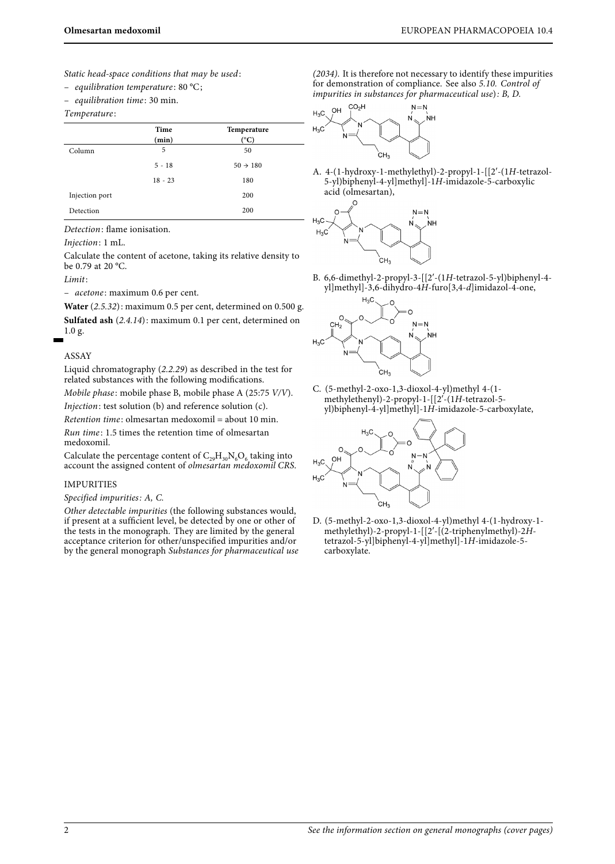Static head-space conditions that may be used:

- equilibration temperature:  $80 °C$ ;

- equilibration time: 30 min.

#### Temperature :

|                | Time      | Temperature          |
|----------------|-----------|----------------------|
|                | (min)     | (°C                  |
| Column         | 5         | 50                   |
|                | $5 - 18$  | $50 \rightarrow 180$ |
|                | $18 - 23$ | 180                  |
| Injection port |           | 200                  |
| Detection      |           | 200                  |

Detection: flame ionisation.

#### Injection: 1 mL.

Calculate the content of acetone, taking its relative density to be 0.79 at 20 °C.

Limit:

- acetone: maximum 0.6 per cent.

**Water** (2.5.32): maximum 0.5 per cent, determined on 0.500 g. **Sulfated ash** (2.4.14): maximum 0.1 per cent, determined on 1.0 g.

### ASSAY

Liquid chromatography (2.2.29) as described in the test for related substances with the following modifications.

Mobile phase : mobile phase B, mobile phase A (25:75 V/V). Injection: test solution (b) and reference solution (c).

Retention time : olmesartan medoxomil = about 10 min. Run time : 1.5 times the retention time of olmesartan medoxomil.

Calculate the percentage content of  $C_{29}H_{30}N_6O_6$  taking into account the assigned content of olmesartan medoxomil CRS.

#### IMPURITIES

#### Specified impurities: A, C.

Other detectable impurities (the following substances would, if present at a sufficient level, be detected by one or other of the tests in the monograph. They are limited by the general acceptance criterion for other/unspecified impurities and/or by the general monograph Substances for pharmaceutical use (2034). It is therefore not necessary to identify these impurities for demonstration of compliance. See also 5.10. Control of impurities in substances for pharmaceutical use): B, D.



A. 4-(1-hydroxy-1-methylethyl)-2-propyl-1-[[2′-(1H-tetrazol-5-yl)biphenyl-4-yl]methyl]-1H-imidazole-5-carboxylic acid (olmesartan),



B. 6,6-dimethyl-2-propyl-3-[[2′-(1H-tetrazol-5-yl)biphenyl-4 yl]methyl]-3,6-dihydro-4H-furo[3,4-d]imidazol-4-one,



C. (5-methyl-2-oxo-1,3-dioxol-4-yl)methyl 4-(1 methylethenyl)-2-propyl-1-[[2′-(1H-tetrazol-5 yl)biphenyl-4-yl]methyl]-1H-imidazole-5-carboxylate,



D. (5-methyl-2-oxo-1,3-dioxol-4-yl)methyl 4-(1-hydroxy-1 methylethyl)-2-propyl-1-[[2′-[(2-triphenylmethyl)-2Htetrazol-5-yl]biphenyl-4-yl]methyl]-1H-imidazole-5 carboxylate.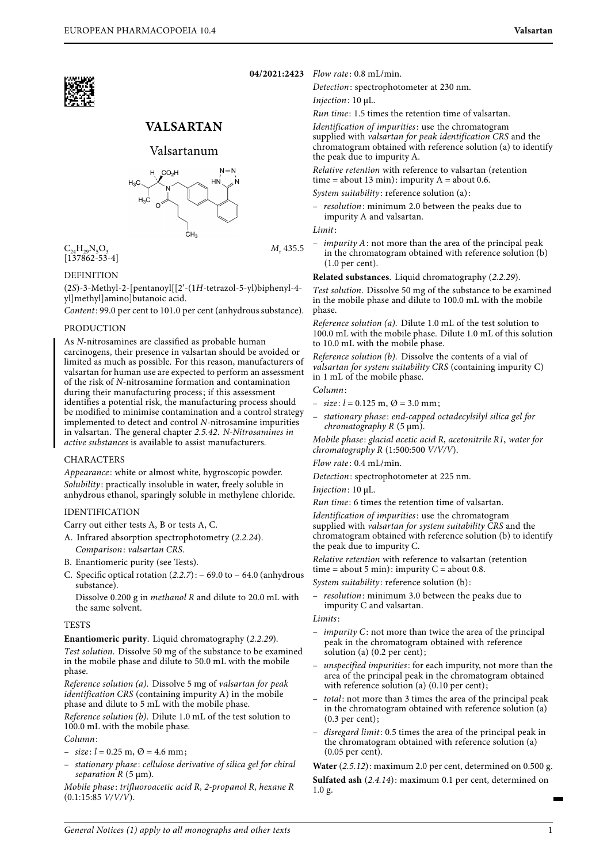

# **VALSARTAN**

## Valsartanum



 $C_{24}H_{29}N_5O_3$  $[137862 - 53 - 4]$ 

## **DEFINITION**

(2S)-3-Methyl-2-[pentanoyl[[2′-(1H-tetrazol-5-yl)biphenyl-4 yl]methyl]amino]butanoic acid.

Content: 99.0 per cent to 101.0 per cent (anhydrous substance).

## **PRODUCTION**

As N-nitrosamines are classified as probable human carcinogens, their presence in valsartan should be avoided or limited as much as possible. For this reason, manufacturers of valsartan for human use are expected to perform an assessment of the risk of N-nitrosamine formation and contamination during their manufacturing process; if this assessment identifies a potential risk, the manufacturing process should be modified to minimise contamination and a control strategy implemented to detect and control N-nitrosamine impurities in valsartan. The general chapter 2.5.42. N-Nitrosamines in active substances is available to assist manufacturers.

## CHARACTERS

Appearance: white or almost white, hygroscopic powder. Solubility: practically insoluble in water, freely soluble in anhydrous ethanol, sparingly soluble in methylene chloride.

#### IDENTIFICATION

Carry out either tests A, B or tests A, C.

- A. Infrared absorption spectrophotometry (2.2.24). Comparison: valsartan CRS.
- B. Enantiomeric purity (see Tests).
- C. Specific optical rotation  $(2.2.7):$  69.0 to 64.0 (anhydrous substance).

Dissolve 0.200 g in methanol R and dilute to 20.0 mL with the same solvent.

#### **TESTS**

**Enantiomeric purity**. Liquid chromatography (2.2.29).

Test solution. Dissolve 50 mg of the substance to be examined in the mobile phase and dilute to 50.0 mL with the mobile phase.

Reference solution (a). Dissolve 5 mg of valsartan for peak identification CRS (containing impurity A) in the mobile phase and dilute to 5 mL with the mobile phase.

Reference solution (b). Dilute 1.0 mL of the test solution to 100.0 mL with the mobile phase.

### Column:

- $-$  size:  $l = 0.25$  m,  $\varnothing = 4.6$  mm;
- stationary phase: cellulose derivative of silica gel for chiral separation R (5 μm).

Mobile phase: trifluoroacetic acid R, 2-propanol R, hexane R  $(0.1:15:85 \frac{V}{V/V})$ .

**04/2021:2423** Flow rate : 0.8 mL/min.

Detection: spectrophotometer at 230 nm.

Injection: 10 μL.

Run time : 1.5 times the retention time of valsartan.

Identification of impurities: use the chromatogram supplied with valsartan for peak identification CRS and the chromatogram obtained with reference solution (a) to identify the peak due to impurity A.

Relative retention with reference to valsartan (retention time = about 13 min): impurity  $A =$  about 0.6.

System suitability: reference solution (a):

– resolution: minimum 2.0 between the peaks due to impurity A and valsartan.

#### Limit:

M<sub>-</sub>435.5

*impurity*  $A$ : not more than the area of the principal peak in the chromatogram obtained with reference solution (b) (1.0 per cent).

**Related substances**. Liquid chromatography (2.2.29).

Test solution. Dissolve 50 mg of the substance to be examined in the mobile phase and dilute to 100.0 mL with the mobile phase.

Reference solution (a). Dilute 1.0 mL of the test solution to 100.0 mL with the mobile phase. Dilute 1.0 mL of this solution to 10.0 mL with the mobile phase.

Reference solution (b). Dissolve the contents of a vial of valsartan for system suitability CRS (containing impurity C) in 1 mL of the mobile phase.

## Column:

- $-$  size:  $l = 0.125$  m,  $\varnothing = 3.0$  mm;
- stationary phase : end-capped octadecylsilyl silica gel for  $chromatography R (5  $\mu m$ ).$

Mobile phase: glacial acetic acid R, acetonitrile R1, water for chromatography R (1:500:500 V/V/V).

Flow rate: 0.4 mL/min.

Detection: spectrophotometer at 225 nm.

Injection: 10 μL.

Run time : 6 times the retention time of valsartan.

Identification of impurities: use the chromatogram supplied with valsartan for system suitability CRS and the chromatogram obtained with reference solution (b) to identify the peak due to impurity C.

Relative retention with reference to valsartan (retention time = about 5 min): impurity  $C =$  about 0.8.

System suitability: reference solution (b):

resolution: minimum 3.0 between the peaks due to impurity C and valsartan.

#### Limits:

- $-$  *impurity* C: not more than twice the area of the principal peak in the chromatogram obtained with reference solution (a) (0.2 per cent);
- unspecified impurities: for each impurity, not more than the area of the principal peak in the chromatogram obtained with reference solution (a) (0.10 per cent);
- total: not more than 3 times the area of the principal peak in the chromatogram obtained with reference solution (a) (0.3 per cent);
- disregard limit: 0.5 times the area of the principal peak in the chromatogram obtained with reference solution (a) (0.05 per cent).

**Water** (2.5.12): maximum 2.0 per cent, determined on 0.500 g.

**Sulfated ash** (2.4.14): maximum 0.1 per cent, determined on 1.0 g.